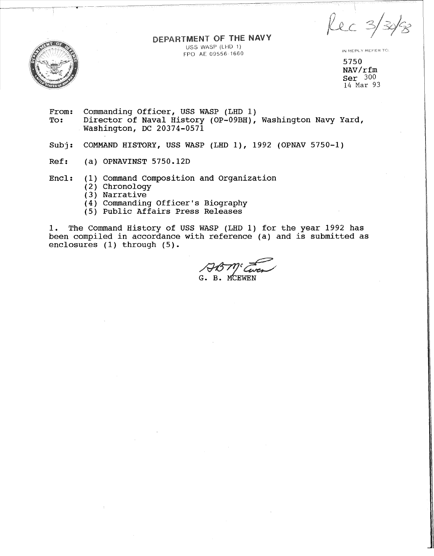$kec3$ 



DEPARTMENT OF THE NAVY USS WASP (LHD 1) FPO AE 09556 1660

IN REPLY REFER TO:

5750 NAV/rfm Ser 300 14 Mar 93

- From: Commanding Officer, USS WASP (LHD 1)<br>To: Director of Naval History (OP-09BH), Director of Naval History (OP-09BH), Washington Navy Yard, Washington, DC 20374-0571
- Subj: COMMAND HISTORY, USS WASP (LHD 1), 1992 (OPNAV 5750-1)
- Ref: (a) OPNAVINST 5750.12D
- Encl: (1) Command Composition and Organization
	- (2) Chronology
	- (3) Narrative
	- (4) Commanding Officer's Biography
	- (5) Public Affairs Press Releases

1. The Command History of USS WASP (LHD 1) for the year 1992 has been compiled in accordance with reference (a) and is submitted as enclosures (1) through (5).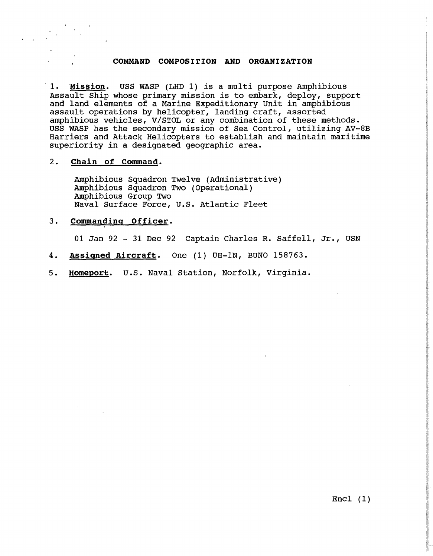#### **COMMAND COMPOSITION AND ORGANIZATION**

1. Mission. USS WASP (LHD 1) is a multi purpose Amphibious Assault Ship whose primary mission is to embark, deploy, support and land elements of a Marine Expeditionary Unit in amphibious assault operations by helicopter, landing craft, assorted amphibious vehicles, V/STOL or any combination of these methods. USS WASP has the secondary mission of Sea Control, utilizing AV-8B Harriers and Attack Helicopters to establish and maintain maritime superiority in a designated geographic area.

#### 2. **Chain of Command.**

Amphibious Squadron Twelve (Administrative) Amphibious Squadron Two (Operational) Amphibious Group Two Naval Surface Force, U.S. Atlantic Fleet

### 3. Commanding Officer.

01 Jan 92 - 31 Dec 92 Captain Charles R. Saffell, Jr., USN

- 4. **Assigned Aircraft.** One (1) UH-lN, BUNO 158763.
- 5. **Horneport.** U.S. Naval Station, Norfolk, Virginia.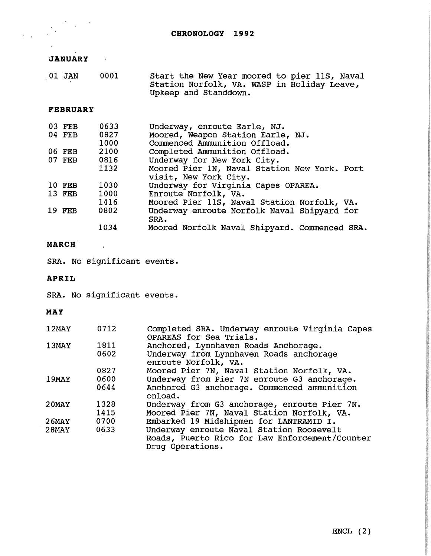# **JANUARY**

 $\frac{1}{2} \frac{1}{2} \frac{1}{2} \frac{1}{2}$ 

 $\frac{1}{2}$ 

 $\frac{1}{2} \frac{1}{2} \frac{1}{2}$ 

| 01 JAN | 0001 | Start the New Year moored to pier 11S, Naval |
|--------|------|----------------------------------------------|
|        |      | Station Norfolk, VA. WASP in Holiday Leave,  |
|        |      | Upkeep and Standdown.                        |

## **FEBRUARY**

| 03 FEB | 0633 | Underway, enroute Earle, NJ.                  |
|--------|------|-----------------------------------------------|
| 04 FEB | 0827 | Moored, Weapon Station Earle, NJ.             |
|        | 1000 | Commenced Ammunition Offload.                 |
| 06 FEB | 2100 | Completed Ammunition Offload.                 |
| 07 FEB | 0816 | Underway for New York City.                   |
|        | 1132 | Moored Pier 1N, Naval Station New York. Port  |
|        |      | visit, New York City.                         |
| 10 FEB | 1030 | Underway for Virginia Capes OPAREA.           |
| 13 FEB | 1000 | Enroute Norfolk, VA.                          |
|        | 1416 | Moored Pier 11S, Naval Station Norfolk, VA.   |
| 19 FEB | 0802 | Underway enroute Norfolk Naval Shipyard for   |
|        |      | SRA.                                          |
|        | 1034 | Moored Norfolk Naval Shipyard. Commenced SRA. |

# **MARCH**

SRA. No significant events.

## **APRIL**

SRA. No significant events.

## **MAY**

| $12$ MAY     | 0712         | Completed SRA. Underway enroute Virginia Capes<br>OPAREAS for Sea Trials.                                      |
|--------------|--------------|----------------------------------------------------------------------------------------------------------------|
| 13MAY        | 1811<br>0602 | Anchored, Lynnhaven Roads Anchorage.<br>Underway from Lynnhaven Roads anchorage<br>enroute Norfolk, VA.        |
|              | 0827         | Moored Pier 7N, Naval Station Norfolk, VA.                                                                     |
| 19MAY        | 0600         | Underway from Pier 7N enroute G3 anchorage.                                                                    |
|              | 0644         | Anchored G3 anchorage. Commenced ammunition<br>onload.                                                         |
| $20$ MAY     | 1328         | Underway from G3 anchorage, enroute Pier 7N.                                                                   |
|              | 1415         | Moored Pier 7N, Naval Station Norfolk, VA.                                                                     |
| <b>26MAY</b> | 0700         | Embarked 19 Midshipmen for LANTRAMID I.                                                                        |
| $28$ MAY     | 0633         | Underway enroute Naval Station Roosevelt<br>Roads, Puerto Rico for Law Enforcement/Counter<br>Drug Operations. |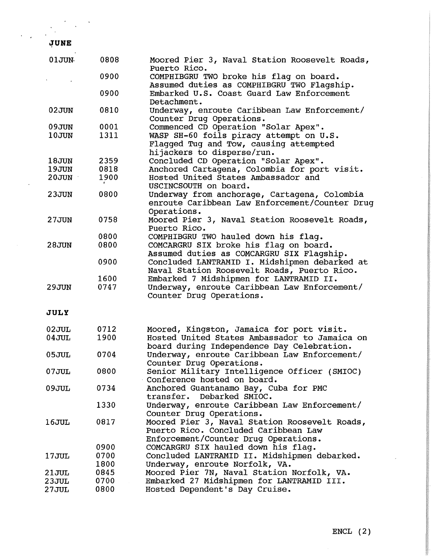$\frac{1}{2}$ 

 $\frac{1}{2}$ 

| 01JUN | 0808 | Moored Pier 3, Naval Station Roosevelt Roads,<br>Puerto Rico.                                                 |
|-------|------|---------------------------------------------------------------------------------------------------------------|
|       | 0900 | COMPHIBGRU TWO broke his flag on board.                                                                       |
|       |      | Assumed duties as COMPHIBGRU TWO Flagship.                                                                    |
|       | 0900 | Embarked U.S. Coast Guard Law Enforcement<br>Detachment.                                                      |
| 02JUN | 0810 | Underway, enroute Caribbean Law Enforcement/<br>Counter Drug Operations.                                      |
| 09JUN | 0001 | Commenced CD Operation "Solar Apex".                                                                          |
| 10JUN | 1311 | WASP SH-60 foils piracy attempt on U.S.                                                                       |
|       |      | Flagged Tug and Tow, causing attempted<br>hijackers to disperse/run.                                          |
| 18JUN | 2359 | Concluded CD Operation "Solar Apex".                                                                          |
| 19JUN | 0818 | Anchored Cartagena, Colombia for port visit.                                                                  |
|       |      |                                                                                                               |
| 20JUN | 1900 | Hosted United States Ambassador and                                                                           |
|       |      | USCINCSOUTH on board.                                                                                         |
| 23JUN | 0800 | Underway from anchorage, Cartagena, Colombia<br>enroute Caribbean Law Enforcement/Counter Drug<br>Operations. |
| 27JUN | 0758 | Moored Pier 3, Naval Station Roosevelt Roads,                                                                 |
|       |      | Puerto Rico.                                                                                                  |
|       | 0800 | COMPHIBGRU TWO hauled down his flaq.                                                                          |
|       |      |                                                                                                               |
| 28JUN | 0800 | COMCARGRU SIX broke his flag on board.<br>Assumed duties as COMCARGRU SIX Flagship.                           |
|       | 0900 | Concluded LANTRAMID I. Midshipmen debarked at<br>Naval Station Roosevelt Roads, Puerto Rico.                  |
|       | 1600 | Embarked 7 Midshipmen for LANTRAMID II.                                                                       |
| 29JUN | 0747 | Underway, enroute Caribbean Law Enforcement/<br>Counter Drug Operations.                                      |
| JULY  |      |                                                                                                               |
|       | 0712 |                                                                                                               |
| 02JUL |      | Moored, Kingston, Jamaica for port visit.                                                                     |
| 04JUL | 1900 | Hosted United States Ambassador to Jamaica on<br>board during Independence Day Celebration.                   |
| 05JUL | 0704 | Underway, enroute Caribbean Law Enforcement/<br>Counter Drug Operations.                                      |
| 07JUL | 0800 | Senior Military Intelligence Officer (SMIOC)                                                                  |
|       |      | Conference hosted on board.                                                                                   |
| 09JUL | 0734 |                                                                                                               |
|       |      | Anchored Guantanamo Bay, Cuba for PMC<br>transfer.<br>Debarked SMIOC.                                         |
|       | 1330 | Underway, enroute Caribbean Law Enforcement/                                                                  |
|       |      |                                                                                                               |
|       |      | Counter Drug Operations.                                                                                      |
| 16JUL | 0817 | Moored Pier 3, Naval Station Roosevelt Roads,                                                                 |
|       |      | Puerto Rico. Concluded Caribbean Law                                                                          |
|       |      | Enforcement/Counter Drug Operations.                                                                          |
|       | 0900 | COMCARGRU SIX hauled down his flaq.                                                                           |
| 17JUL | 0700 | Concluded LANTRAMID II. Midshipmen debarked.                                                                  |
|       | 1800 | Underway, enroute Norfolk, VA.                                                                                |
|       | 0845 |                                                                                                               |
| 21JUL |      | Moored Pier 7N, Naval Station Norfolk, VA.                                                                    |
| 23JUL | 0700 | Embarked 27 Midshipmen for LANTRAMID III.                                                                     |
| 27JUL | 0800 | Hosted Dependent's Day Cruise.                                                                                |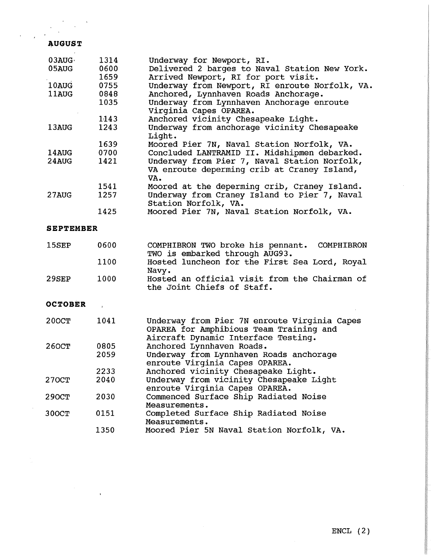# ~UGUST

 $\bar{z}$ 

 $\hat{\mathbf{v}}$ 

| 03AUG            | 1314  | Underway for Newport, RI.                                                                                                      |
|------------------|-------|--------------------------------------------------------------------------------------------------------------------------------|
| 05AUG            | 0600  | Delivered 2 barges to Naval Station New York.                                                                                  |
|                  | 1659  | Arrived Newport, RI for port visit.                                                                                            |
| 10AUG            | 0755  | Underway from Newport, RI enroute Norfolk, VA.                                                                                 |
| 11AUG            | 0848  | Anchored, Lynnhaven Roads Anchorage.                                                                                           |
|                  | 1035  | Underway from Lynnhaven Anchorage enroute<br>Virginia Capes OPAREA.                                                            |
|                  | 1143  | Anchored vicinity Chesapeake Light.                                                                                            |
| 13AUG            | 1243  | Underway from anchorage vicinity Chesapeake<br>Light.                                                                          |
|                  | 1639  | Moored Pier 7N, Naval Station Norfolk, VA.                                                                                     |
| 14AUG            | 0700  | Concluded LANTRAMID II. Midshipmen debarked.                                                                                   |
| 24AUG            | 1421  | Underway from Pier 7, Naval Station Norfolk,                                                                                   |
|                  |       | VA enroute deperming crib at Craney Island,<br>VA.                                                                             |
|                  | 1541  | Moored at the deperming crib, Craney Island.                                                                                   |
| 27AUG            | 1257  | Underway from Craney Island to Pier 7, Naval<br>Station Norfolk, VA.                                                           |
|                  | 1425  | Moored Pier 7N, Naval Station Norfolk, VA.                                                                                     |
| <b>SEPTEMBER</b> |       |                                                                                                                                |
| 15SEP            | 0600  | COMPHIBRON TWO broke his pennant.<br>COMPHIBRON<br>TWO is embarked through AUG93.                                              |
|                  | 1100  | Hosted luncheon for the First Sea Lord, Royal<br>Navy.                                                                         |
| 29SEP            | 1000  | Hosted an official visit from the Chairman of<br>the Joint Chiefs of Staff.                                                    |
| <b>OCTOBER</b>   | $\pm$ |                                                                                                                                |
| <b>200CT</b>     | 1041  | Underway from Pier 7N enroute Virginia Capes<br>OPAREA for Amphibious Team Training and<br>Aircraft Dynamic Interface Testing. |
| 260CT            | 0805  | Anchored Lynnhaven Roads.                                                                                                      |
|                  | 2059  | Underway from Lynnhaven Roads anchorage                                                                                        |
|                  |       | enroute Virginia Capes OPAREA.                                                                                                 |
|                  | 2233  | Anchored vicinity Chesapeake Light.                                                                                            |
| 270CT            | 2040  | Underway from vicinity Chesapeake Light                                                                                        |
|                  |       | enroute Virginia Capes OPAREA.                                                                                                 |
| <b>290CT</b>     | 2030  | Commenced Surface Ship Radiated Noise                                                                                          |
|                  |       | Measurements.                                                                                                                  |
| 300CT            | 0151  | Completed Surface Ship Radiated Noise<br>Measurements.                                                                         |
|                  | 1350  | Moored Pier 5N Naval Station Norfolk, VA.                                                                                      |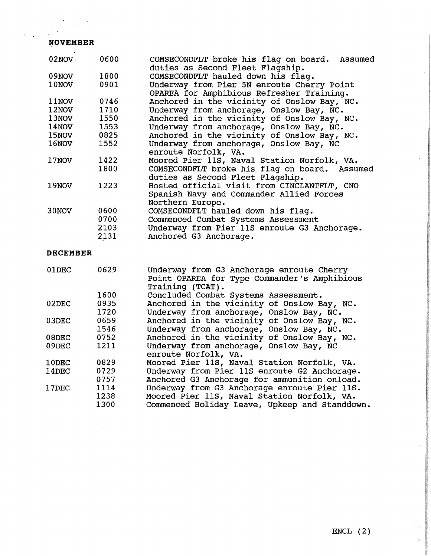## **NOVEMBER**

| 02NOV· | 0600 | COMSECONDFLT broke his flag on board. Assumed |
|--------|------|-----------------------------------------------|
|        |      | duties as Second Fleet Flagship.              |
| 09NOV  | 1800 | COMSECONDFLT hauled down his flag.            |
| 10NOV  | 0901 | Underway from Pier 5N enroute Cherry Point    |
|        |      | OPAREA for Amphibious Refresher Training.     |
| 11NOV  | 0746 | Anchored in the vicinity of Onslow Bay, NC.   |
| 12NOV  | 1710 | Underway from anchorage, Onslow Bay, NC.      |
| 13NOV  | 1550 | Anchored in the vicinity of Onslow Bay, NC.   |
| 14NOV  | 1553 | Underway from anchorage, Onslow Bay, NC.      |
| 15NOV  | 0825 | Anchored in the vicinity of Onslow Bay, NC.   |
| 16NOV  | 1552 | Underway from anchorage, Onslow Bay, NC       |
|        |      | enroute Norfolk, VA.                          |
| 17NOV  | 1422 | Moored Pier 11S, Naval Station Norfolk, VA.   |
|        | 1800 | COMSECONDFLT broke his flag on board. Assumed |
|        |      | duties as Second Fleet Flagship.              |
| 19NOV  | 1223 | Hosted official visit from CINCLANTFLT, CNO   |
|        |      | Spanish Navy and Commander Allied Forces      |
|        |      | Northern Europe.                              |
| 30NOV  | 0600 | COMSECONDFLT hauled down his flag.            |
|        | 0700 | Commenced Combat Systems Assessment           |
|        | 2103 | Underway from Pier 11S enroute G3 Anchorage.  |
|        |      |                                               |
|        | 2131 | Anchored G3 Anchorage.                        |

### **DECEMBER**

| 01DEC    | 0629 | Underway from G3 Anchorage enroute Cherry<br>Point OPAREA for Type Commander's Amphibious<br>Training (TCAT). |
|----------|------|---------------------------------------------------------------------------------------------------------------|
|          | 1600 | Concluded Combat Systems Assessment.                                                                          |
| $02$ DEC | 0935 | Anchored in the vicinity of Onslow Bay, NC.                                                                   |
|          | 1720 | Underway from anchorage, Onslow Bay, NC.                                                                      |
| 03DEC    | 0659 | Anchored in the vicinity of Onslow Bay, NC.                                                                   |
|          | 1546 | Underway from anchorage, Onslow Bay, NC.                                                                      |
| 08DEC    | 0752 | Anchored in the vicinity of Onslow Bay, NC.                                                                   |
| 09DEC    | 1211 | Underway from anchorage, Onslow Bay, NC<br>enroute Norfolk, VA.                                               |
| 10DEC    | 0829 | Moored Pier 11S, Naval Station Norfolk, VA.                                                                   |
| 14DEC    | 0729 | Underway from Pier 11S enroute G2 Anchorage.                                                                  |
|          | 0757 | Anchored G3 Anchorage for ammunition onload.                                                                  |
| 17DEC    | 1114 | Underway from G3 Anchorage enroute Pier 11S.                                                                  |
|          | 1238 | Moored Pier 11S, Naval Station Norfolk, VA.                                                                   |
|          | 1300 | Commenced Holiday Leave, Upkeep and Standdown.                                                                |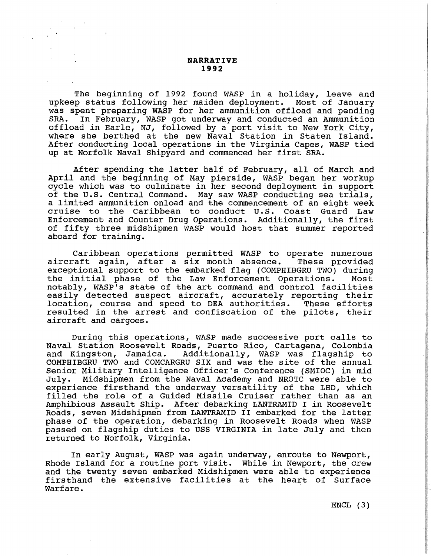#### **NARRATIVE 1992**

The beginning of 1992 found WASP in a holiday, leave and<br>p status following her maiden deployment. Most of January upkeep status following her maiden deployment. was spent preparing WASP for her ammunition offload and pending<br>SRA. In February, WASP got underway and conducted an Ammunition In February, WASP got underway and conducted an Ammunition offload in Earle, NJ, followed by a port visit to New York City, where she berthed at the new Naval Station in Staten Island. After conducting local operations in the Virginia Capes, WASP tied up at Norfolk Naval Shipyard and commenced her first SRA.

After spending the latter half of February, all of March and April and the beginning of May pierside, WASP began her workup cycle which was to culminate in her second deployment in support of the U.S. Central Command. May saw WASP conducting sea trials, a limited ammunition onload and the commencement of an eight week cruise to the Caribbean to conduct U.S. Coast Guard Law Enforcement. and Counter Drug Operations. Additionally, the first of fifty three midshipmen WASP would host that summer reported aboard for training.

Caribbean operations permitted WASP to operate numerous<br>caft again, after a six month absence. These provided aircraft again, after a six month absence. exceptional support to the embarked flag (COMPHIBGRU TWO) during<br>the initial phase of the Law Enforcement Operations. Most the initial phase of the Law Enforcement Operations. notably, WASP'S state of the art command and control facilities easily detected suspect aircraft, accurately reporting their location, course and speed to DEA authorities. These efforts resulted in the arrest and confiscation of the pilots, their aircraft and cargoes.

During this operations, WASP made successive port calls to Naval Station Roosevelt Roads, Puerto Rico, Cartagena, Colombia<br>and Kingston, Jamaica. Additionally, WASP was flagship to Additionally, WASP was flagship to COMPHIBGRU TWO and COMCARGRU SIX and was the site of the annual Senior Military Intelligence Officer's Conference (SMIOC) in mid<br>Julv. Midshipmen from the Naval Academy and NROTC were able to Midshipmen from the Naval Academy and NROTC were able to experience firsthand the underway versatility of the LHD, which experience filled the role of a Guided Missile Cruiser rather than as an Amphibious Assault Ship. After debarking LANTRAMID I in Roosevelt Roads, seven Midshipmen from LANTRAMID II embarked for the latter phase of the operation, debarking in Roosevelt Roads when WASP passed on flagship duties to USS VIRGINIA in late July and then returned to Norfolk, Virginia.

In early August, WASP was again underway, enroute to Newport, Rhode Island for a routine port visit. While in Newport, the crew and the twenty seven embarked Midshipmen were able to experience firsthand the extensive facilities at the heart of Surface warfare.